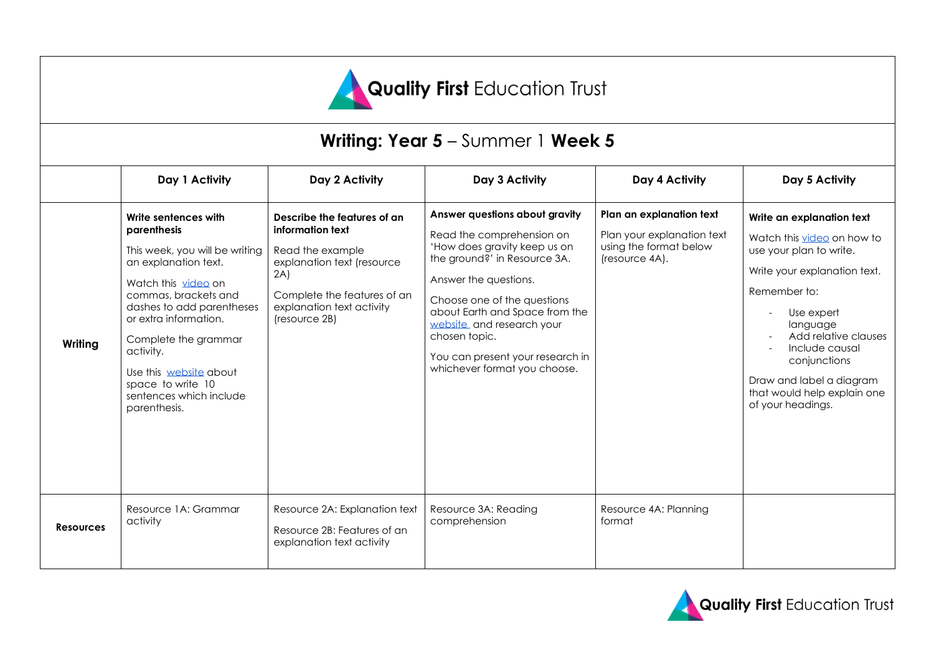

# **Writing: Year 5** – Summer 1 **Week 5**

|                  | Day 1 Activity                                                                                                                                                                                                                                                                                                                    | Day 2 Activity                                                                                                                                                                        | Day 3 Activity                                                                                                                                                                                                                                                                                                                          | Day 4 Activity                                                                                     | Day 5 Activity                                                                                                                                                                                                                                                                                         |
|------------------|-----------------------------------------------------------------------------------------------------------------------------------------------------------------------------------------------------------------------------------------------------------------------------------------------------------------------------------|---------------------------------------------------------------------------------------------------------------------------------------------------------------------------------------|-----------------------------------------------------------------------------------------------------------------------------------------------------------------------------------------------------------------------------------------------------------------------------------------------------------------------------------------|----------------------------------------------------------------------------------------------------|--------------------------------------------------------------------------------------------------------------------------------------------------------------------------------------------------------------------------------------------------------------------------------------------------------|
| Writing          | Write sentences with<br>parenthesis<br>This week, you will be writing<br>an explanation text.<br>Watch this video on<br>commas, brackets and<br>dashes to add parentheses<br>or extra information.<br>Complete the grammar<br>activity.<br>Use this website about<br>space to write 10<br>sentences which include<br>parenthesis. | Describe the features of an<br>information text<br>Read the example<br>explanation text (resource<br>2A)<br>Complete the features of an<br>explanation text activity<br>(resource 2B) | Answer questions about gravity<br>Read the comprehension on<br>'How does gravity keep us on<br>the ground?' in Resource 3A.<br>Answer the questions.<br>Choose one of the questions<br>about Earth and Space from the<br>website and research your<br>chosen topic.<br>You can present your research in<br>whichever format you choose. | Plan an explanation text<br>Plan your explanation text<br>using the format below<br>(resource 4A). | Write an explanation text<br>Watch this video on how to<br>use your plan to write.<br>Write your explanation text.<br>Remember to:<br>Use expert<br>language<br>Add relative clauses<br>Include causal<br>conjunctions<br>Draw and label a diagram<br>that would help explain one<br>of your headings. |
| <b>Resources</b> | Resource 1A: Grammar<br>activity                                                                                                                                                                                                                                                                                                  | Resource 2A: Explanation text<br>Resource 2B: Features of an<br>explanation text activity                                                                                             | Resource 3A: Reading<br>comprehension                                                                                                                                                                                                                                                                                                   | Resource 4A: Planning<br>format                                                                    |                                                                                                                                                                                                                                                                                                        |

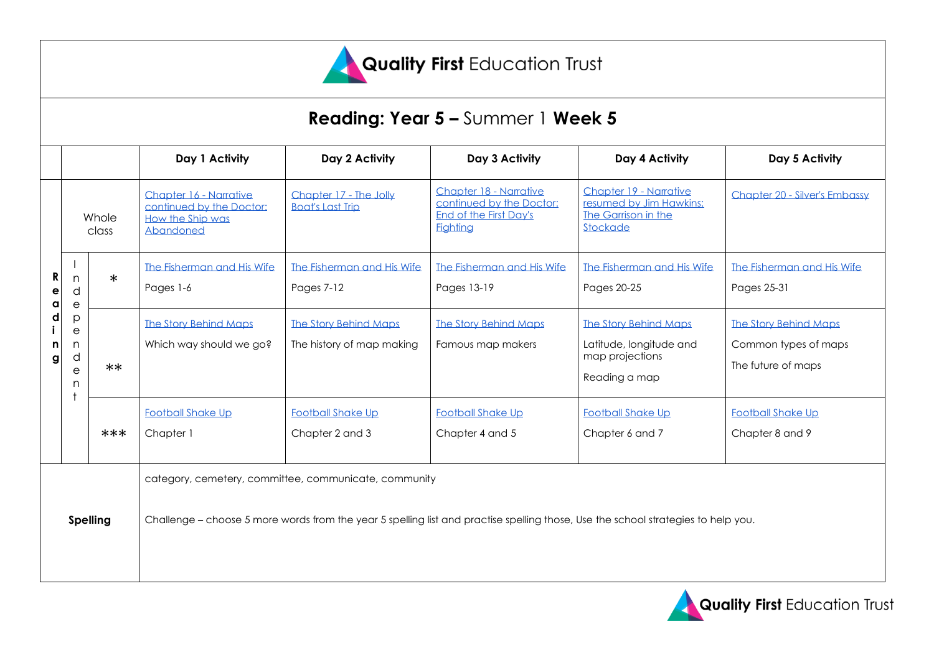

# **Reading: Year 5 –** Summer 1 **Week 5**

|                            |                                               |        | Day 1 Activity                                                                                                                    | Day 2 Activity                                            | Day 3 Activity                                                                                  | Day 4 Activity                                                                              | Day 5 Activity                                                             |  |  |
|----------------------------|-----------------------------------------------|--------|-----------------------------------------------------------------------------------------------------------------------------------|-----------------------------------------------------------|-------------------------------------------------------------------------------------------------|---------------------------------------------------------------------------------------------|----------------------------------------------------------------------------|--|--|
| R<br>е<br>a<br>d<br>n<br>g | Whole<br>class                                |        | Chapter 16 - Narrative<br>continued by the Doctor:<br>How the Ship was<br>Abandoned                                               | Chapter 17 - The Jolly<br><b>Boat's Last Trip</b>         | Chapter 18 - Narrative<br>continued by the Doctor:<br>End of the First Day's<br><b>Fighting</b> | Chapter 19 - Narrative<br>resumed by Jim Hawkins:<br>The Garrison in the<br>Stockade        | Chapter 20 - Silver's Embassy                                              |  |  |
|                            | n<br>d<br>$\mathsf{e}$                        | $\ast$ | The Fisherman and His Wife<br>Pages 1-6                                                                                           | The Fisherman and His Wife<br><b>Pages 7-12</b>           | The Fisherman and His Wife<br>Pages 13-19                                                       | The Fisherman and His Wife<br>Pages 20-25                                                   | The Fisherman and His Wife<br>Pages 25-31                                  |  |  |
|                            | p<br>$\boldsymbol{\rm e}$<br>n<br>d<br>e<br>n | $**$   | <b>The Story Behind Maps</b><br>Which way should we go?                                                                           | <b>The Story Behind Maps</b><br>The history of map making | <b>The Story Behind Maps</b><br>Famous map makers                                               | <b>The Story Behind Maps</b><br>Latitude, longitude and<br>map projections<br>Reading a map | <b>The Story Behind Maps</b><br>Common types of maps<br>The future of maps |  |  |
|                            |                                               | $***$  | <b>Football Shake Up</b><br>Chapter 1                                                                                             | <b>Football Shake Up</b><br>Chapter 2 and 3               | <b>Football Shake Up</b><br>Chapter 4 and 5                                                     | <b>Football Shake Up</b><br>Chapter 6 and 7                                                 | <b>Football Shake Up</b><br>Chapter 8 and 9                                |  |  |
| <b>Spelling</b>            |                                               |        | category, cemetery, committee, communicate, community                                                                             |                                                           |                                                                                                 |                                                                                             |                                                                            |  |  |
|                            |                                               |        | Challenge – choose 5 more words from the year 5 spelling list and practise spelling those, Use the school strategies to help you. |                                                           |                                                                                                 |                                                                                             |                                                                            |  |  |

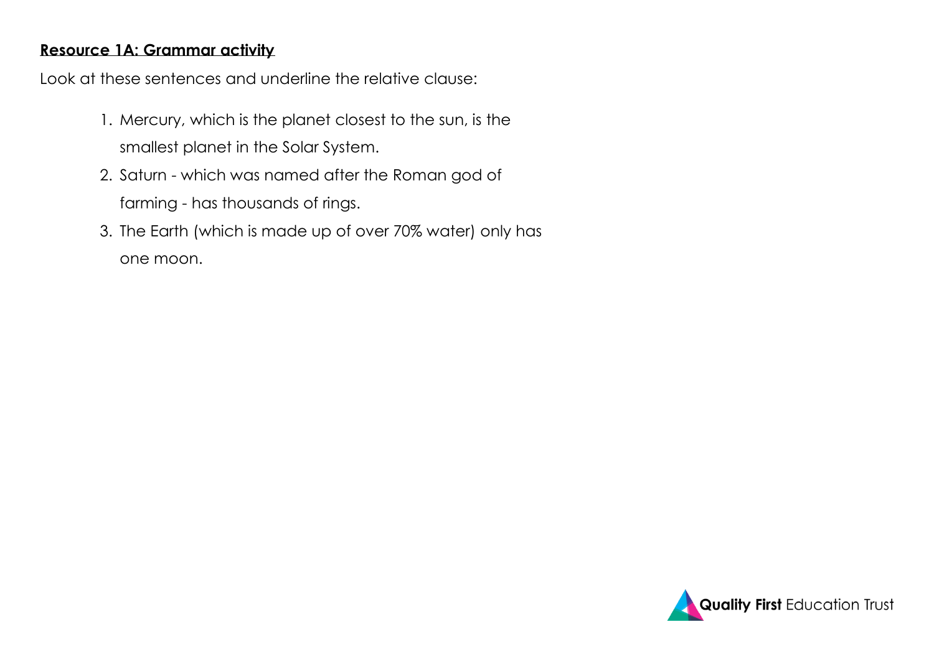## **Resource 1A: Grammar activity**

Look at these sentences and underline the relative clause:

- 1. Mercury, which is the planet closest to the sun, is the smallest planet in the Solar System.
- 2. Saturn which was named after the Roman god of farming - has thousands of rings.
- 3. The Earth (which is made up of over 70% water) only has one moon.

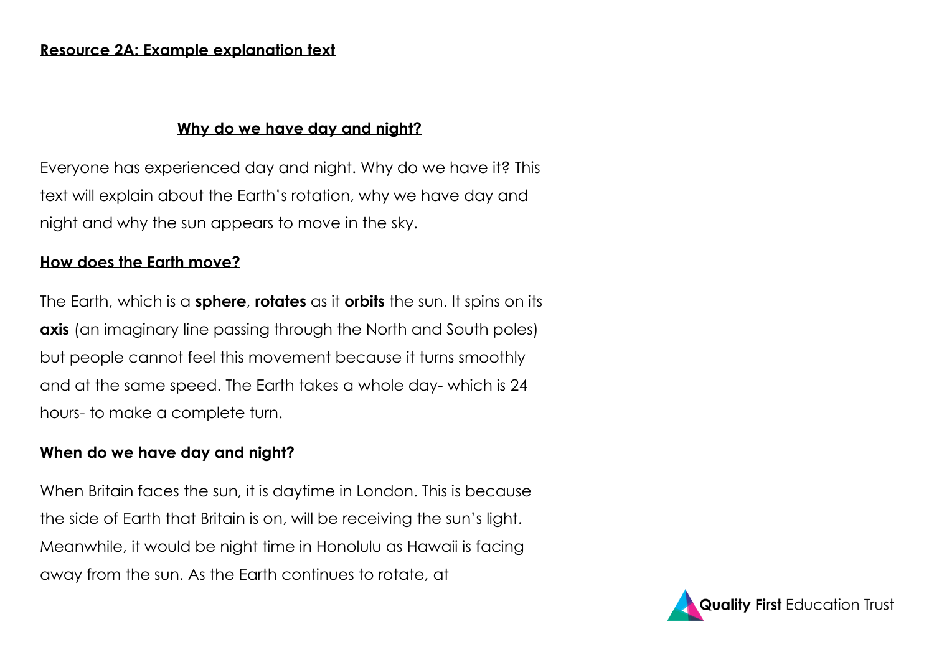## **Why do we have day and night?**

Everyone has experienced day and night. Why do we have it? This text will explain about the Earth's rotation, why we have day and night and why the sun appears to move in the sky.

# **How does the Earth move?**

The Earth, which is a **sphere**, **rotates** as it **orbits** the sun. It spins on its **axis** (an imaginary line passing through the North and South poles) but people cannot feel this movement because it turns smoothly and at the same speed. The Earth takes a whole day- which is 24 hours- to make a complete turn.

# **When do we have day and night?**

When Britain faces the sun, it is daytime in London. This is because the side of Earth that Britain is on, will be receiving the sun's light. Meanwhile, it would be night time in Honolulu as Hawaii is facing away from the sun. As the Earth continues to rotate, at

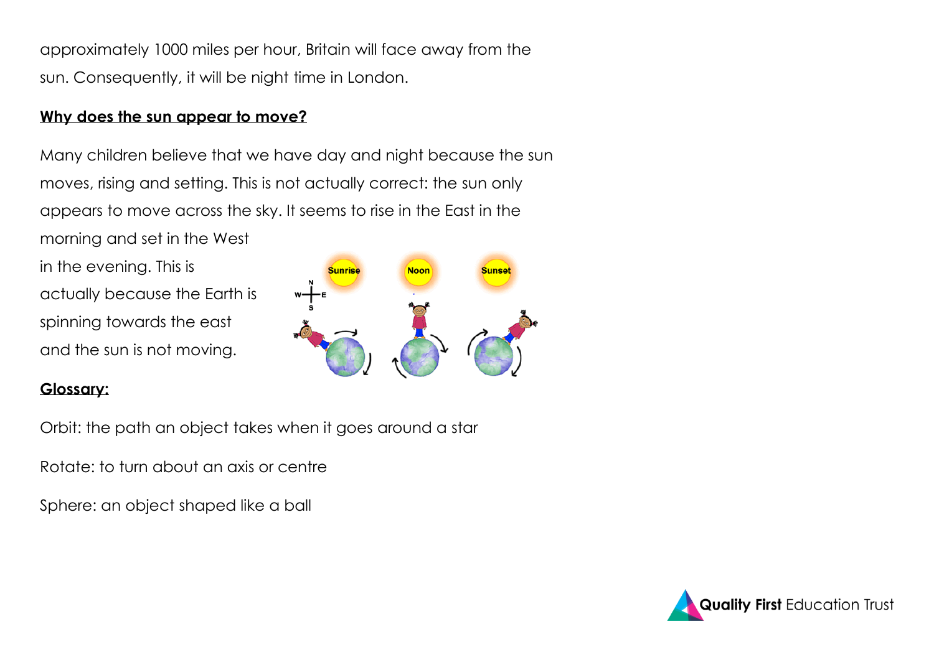approximately 1000 miles per hour, Britain will face away from the sun. Consequently, it will be night time in London.

### **Why does the sun appear to move?**

Many children believe that we have day and night because the sun moves, rising and setting. This is not actually correct: the sun only appears to move across the sky. It seems to rise in the East in the morning and set in the West

in the evening. This is actually because the Earth is spinning towards the east and the sun is not moving.



### **Glossary:**

Orbit: the path an object takes when it goes around a star

Rotate: to turn about an axis or centre

Sphere: an object shaped like a ball

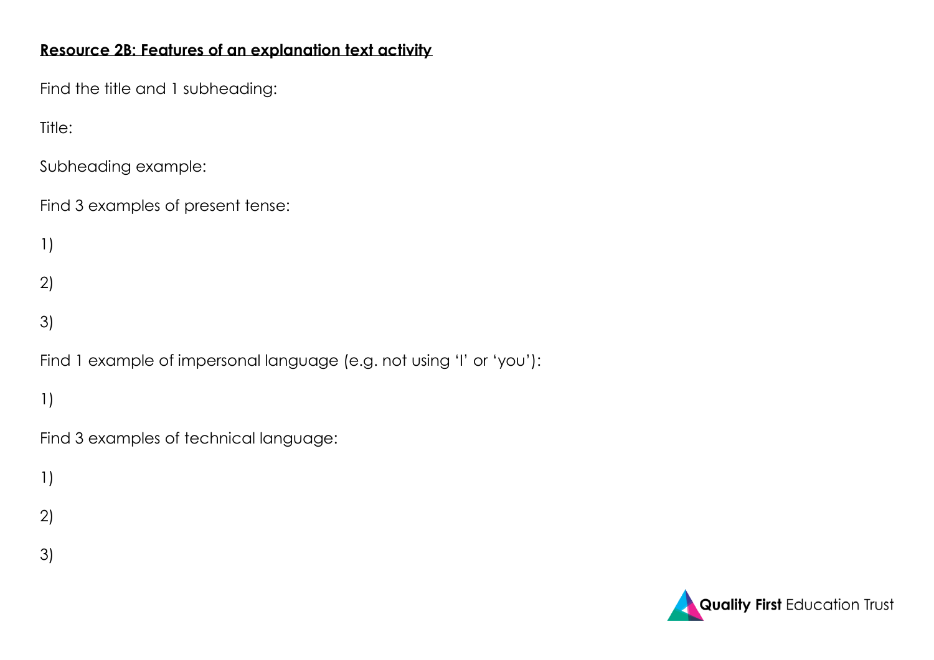# **Resource 2B: Features of an explanation text activity**

Find the title and 1 subheading:

Title:

Subheading example:

Find 3 examples of present tense:

1)

2)

3)

Find 1 example of impersonal language (e.g. not using 'I' or 'you'):

1)

Find 3 examples of technical language:

1)

- 2)
- 3)

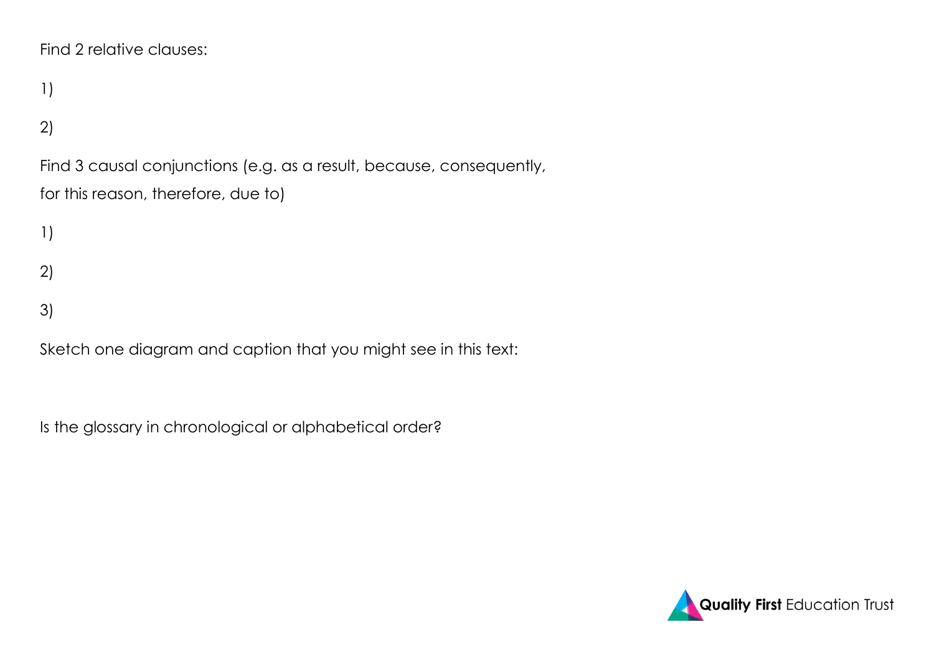```
Find 2 relative clauses:
```
1)

# 2)

Find 3 causal conjunctions (e.g. as a result, because, consequently, for this reason, therefore, due to)

1)

2)

3)

Sketch one diagram and caption that you might see in this text:

Is the glossary in chronological or alphabetical order?

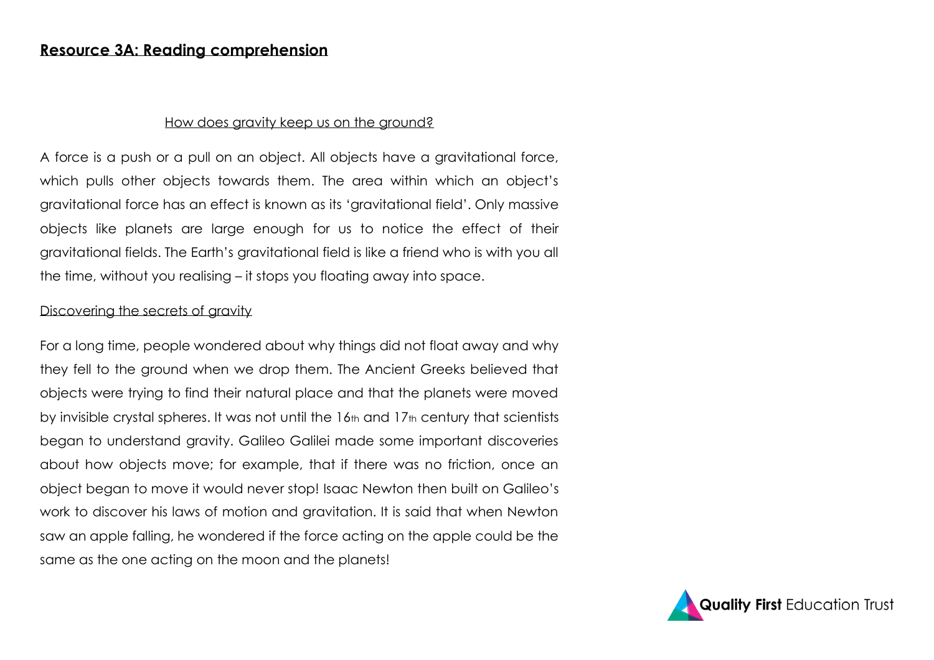#### **Resource 3A: Reading comprehension**

#### How does gravity keep us on the ground?

A force is a push or a pull on an object. All objects have a gravitational force, which pulls other objects towards them. The area within which an object's gravitational force has an effect is known as its 'gravitational field'. Only massive objects like planets are large enough for us to notice the effect of their gravitational fields. The Earth's gravitational field is like a friend who is with you all the time, without you realising – it stops you floating away into space.

#### Discovering the secrets of gravity

For a long time, people wondered about why things did not float away and why they fell to the ground when we drop them. The Ancient Greeks believed that objects were trying to find their natural place and that the planets were moved by invisible crystal spheres. It was not until the 16th and 17th century that scientists began to understand gravity. Galileo Galilei made some important discoveries about how objects move; for example, that if there was no friction, once an object began to move it would never stop! Isaac Newton then built on Galileo's work to discover his laws of motion and gravitation. It is said that when Newton saw an apple falling, he wondered if the force acting on the apple could be the same as the one acting on the moon and the planets!

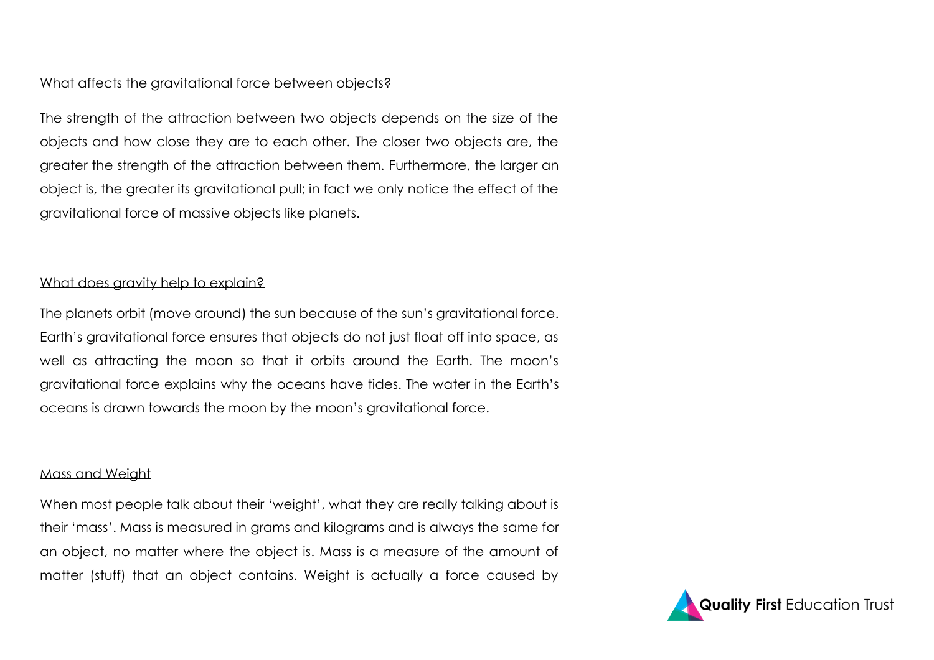#### What affects the gravitational force between objects?

The strength of the attraction between two objects depends on the size of the objects and how close they are to each other. The closer two objects are, the greater the strength of the attraction between them. Furthermore, the larger an object is, the greater its gravitational pull; in fact we only notice the effect of the gravitational force of massive objects like planets.

#### What does gravity help to explain?

The planets orbit (move around) the sun because of the sun's gravitational force. Earth's gravitational force ensures that objects do not just float off into space, as well as attracting the moon so that it orbits around the Earth. The moon's gravitational force explains why the oceans have tides. The water in the Earth's oceans is drawn towards the moon by the moon's gravitational force.

#### Mass and Weight

When most people talk about their 'weight', what they are really talking about is their 'mass'. Mass is measured in grams and kilograms and is always the same for an object, no matter where the object is. Mass is a measure of the amount of matter (stuff) that an object contains. Weight is actually a force caused by

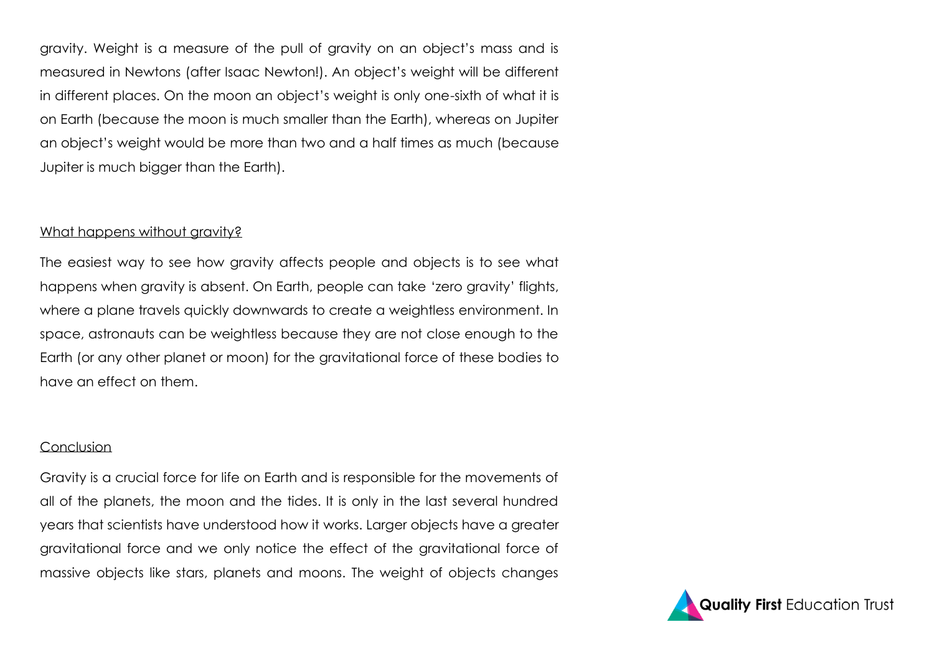gravity. Weight is a measure of the pull of gravity on an object's mass and is measured in Newtons (after Isaac Newton!). An object's weight will be different in different places. On the moon an object's weight is only one-sixth of what it is on Earth (because the moon is much smaller than the Earth), whereas on Jupiter an object's weight would be more than two and a half times as much (because Jupiter is much bigger than the Earth).

#### What happens without aravity?

The easiest way to see how gravity affects people and objects is to see what happens when gravity is absent. On Earth, people can take 'zero gravity' flights, where a plane travels quickly downwards to create a weightless environment. In space, astronauts can be weightless because they are not close enough to the Earth (or any other planet or moon) for the gravitational force of these bodies to have an effect on them.

#### Conclusion

Gravity is a crucial force for life on Earth and is responsible for the movements of all of the planets, the moon and the tides. It is only in the last several hundred years that scientists have understood how it works. Larger objects have a greater gravitational force and we only notice the effect of the gravitational force of massive objects like stars, planets and moons. The weight of objects changes

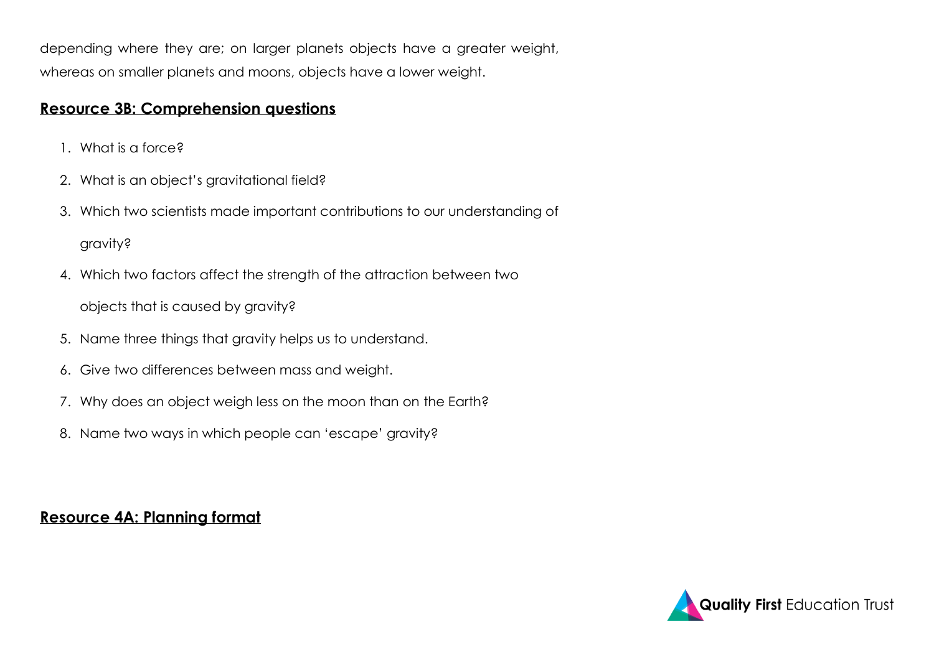depending where they are; on larger planets objects have a greater weight, whereas on smaller planets and moons, objects have a lower weight.

# **Resource 3B: Comprehension questions**

- 1. What is a force?
- 2. What is an object's gravitational field?
- 3. Which two scientists made important contributions to our understanding of gravity?
- 4. Which two factors affect the strength of the attraction between two

objects that is caused by gravity?

- 5. Name three things that gravity helps us to understand.
- 6. Give two differences between mass and weight.
- 7. Why does an object weigh less on the moon than on the Earth?
- 8. Name two ways in which people can 'escape' gravity?

# **Resource 4A: Planning format**

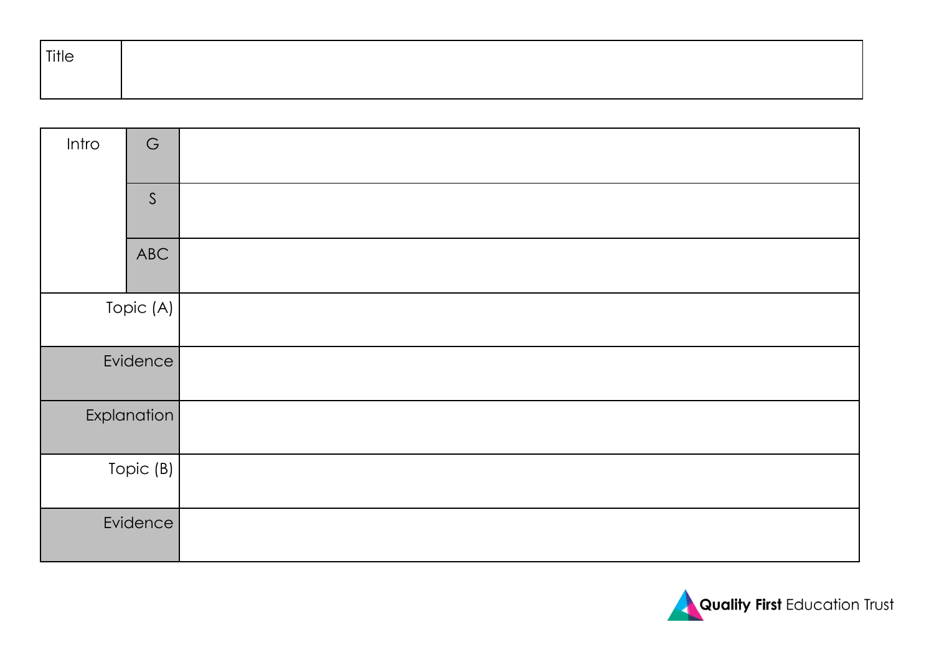| Title |  |  |  |
|-------|--|--|--|
|       |  |  |  |

| Intro       | $\mathsf G$ |  |
|-------------|-------------|--|
|             | S           |  |
|             | ABC         |  |
| Topic (A)   |             |  |
| Evidence    |             |  |
| Explanation |             |  |
| Topic (B)   |             |  |
| Evidence    |             |  |